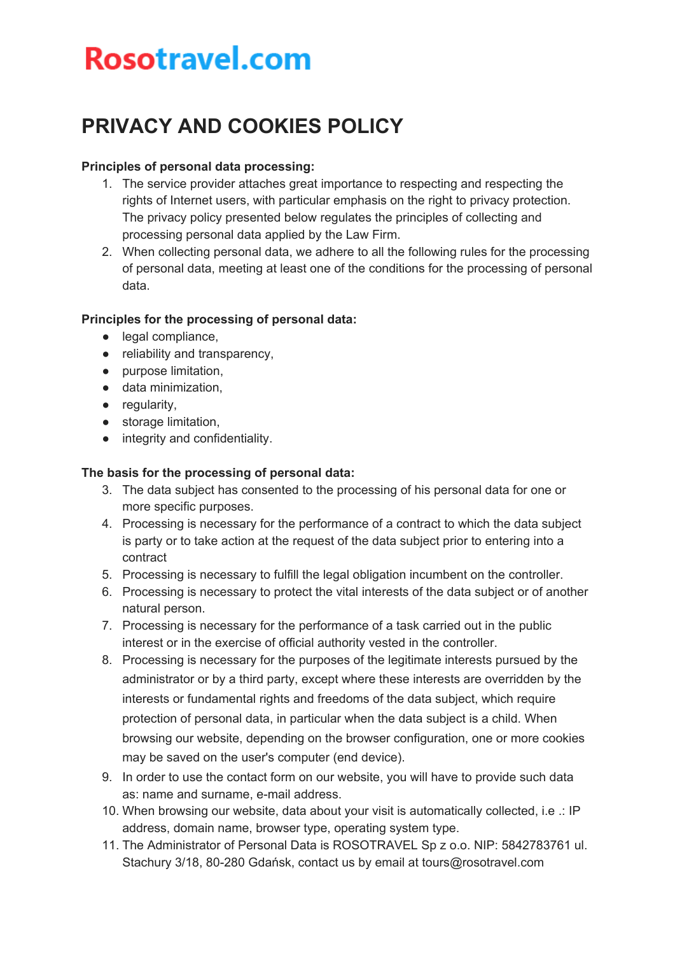## **Rosotravel.com**

### **PRIVACY AND COOKIES POLICY**

#### **Principles of personal data processing:**

- 1. The service provider attaches great importance to respecting and respecting the rights of Internet users, with particular emphasis on the right to privacy protection. The privacy policy presented below regulates the principles of collecting and processing personal data applied by the Law Firm.
- 2. When collecting personal data, we adhere to all the following rules for the processing of personal data, meeting at least one of the conditions for the processing of personal data.

#### **Principles for the processing of personal data:**

- legal compliance,
- reliability and transparency,
- purpose limitation,
- data minimization,
- regularity,
- storage limitation,
- integrity and confidentiality.

#### **The basis for the processing of personal data:**

- 3. The data subject has consented to the processing of his personal data for one or more specific purposes.
- 4. Processing is necessary for the performance of a contract to which the data subject is party or to take action at the request of the data subject prior to entering into a contract
- 5. Processing is necessary to fulfill the legal obligation incumbent on the controller.
- 6. Processing is necessary to protect the vital interests of the data subject or of another natural person.
- 7. Processing is necessary for the performance of a task carried out in the public interest or in the exercise of official authority vested in the controller.
- 8. Processing is necessary for the purposes of the legitimate interests pursued by the administrator or by a third party, except where these interests are overridden by the interests or fundamental rights and freedoms of the data subject, which require protection of personal data, in particular when the data subject is a child. When browsing our website, depending on the browser configuration, one or more cookies may be saved on the user's computer (end device).
- 9. In order to use the contact form on our website, you will have to provide such data as: name and surname, e-mail address.
- 10. When browsing our website, data about your visit is automatically collected, i.e .: IP address, domain name, browser type, operating system type.
- 11. The Administrator of Personal Data is ROSOTRAVEL Sp z o.o. NIP: 5842783761 ul. Stachury 3/18, 80-280 Gdańsk, contact us by email at tours@rosotravel.com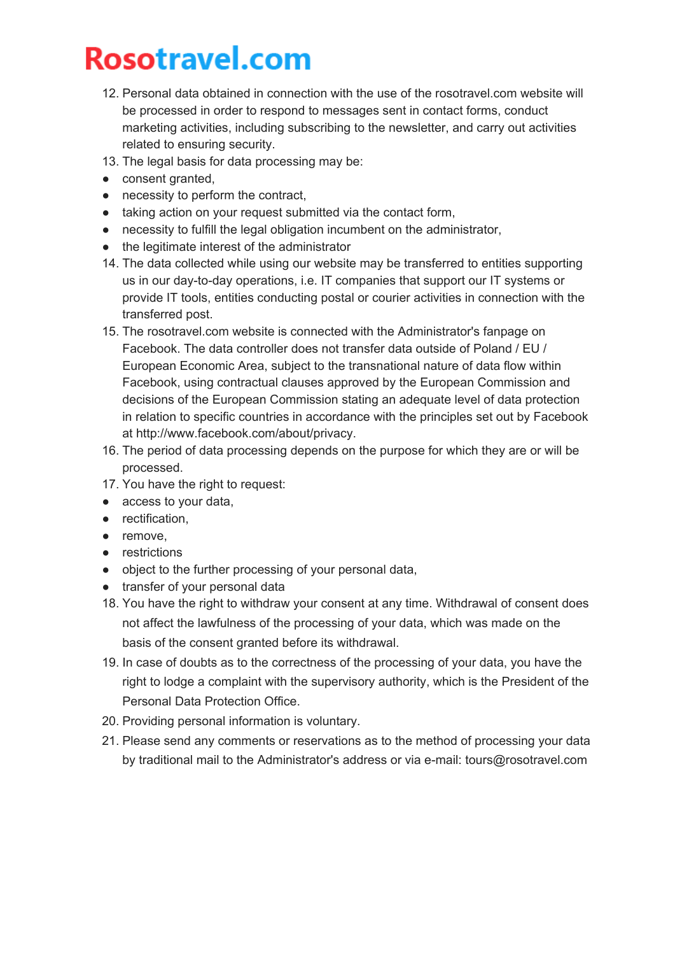# **Rosotravel.com**

- 12. Personal data obtained in connection with the use of the rosotravel.com website will be processed in order to respond to messages sent in contact forms, conduct marketing activities, including subscribing to the newsletter, and carry out activities related to ensuring security.
- 13. The legal basis for data processing may be:
- consent granted,
- necessity to perform the contract,
- taking action on your request submitted via the contact form,
- necessity to fulfill the legal obligation incumbent on the administrator,
- the legitimate interest of the administrator
- 14. The data collected while using our website may be transferred to entities supporting us in our day-to-day operations, i.e. IT companies that support our IT systems or provide IT tools, entities conducting postal or courier activities in connection with the transferred post.
- 15. The rosotravel.com website is connected with the Administrator's fanpage on Facebook. The data controller does not transfer data outside of Poland / EU / European Economic Area, subject to the transnational nature of data flow within Facebook, using contractual clauses approved by the European Commission and decisions of the European Commission stating an adequate level of data protection in relation to specific countries in accordance with the principles set out by Facebook at http://www.facebook.com/about/privacy.
- 16. The period of data processing depends on the purpose for which they are or will be processed.
- 17. You have the right to request:
- access to your data,
- rectification,
- remove,
- restrictions
- object to the further processing of your personal data,
- transfer of your personal data
- 18. You have the right to withdraw your consent at any time. Withdrawal of consent does not affect the lawfulness of the processing of your data, which was made on the basis of the consent granted before its withdrawal.
- 19. In case of doubts as to the correctness of the processing of your data, you have the right to lodge a complaint with the supervisory authority, which is the President of the Personal Data Protection Office.
- 20. Providing personal information is voluntary.
- 21. Please send any comments or reservations as to the method of processing your data by traditional mail to the Administrator's address or via e-mail: tours@rosotravel.com